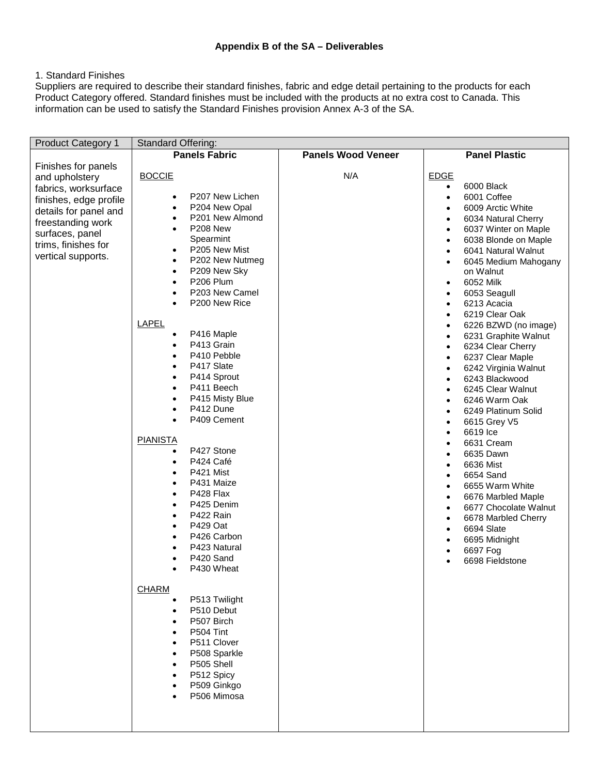## 1. Standard Finishes

Suppliers are required to describe their standard finishes, fabric and edge detail pertaining to the products for each Product Category offered. Standard finishes must be included with the products at no extra cost to Canada. This information can be used to satisfy the Standard Finishes provision Annex A-3 of the SA.

| <b>Product Category 1</b> | <b>Standard Offering:</b>            |                      |                                    |  |  |  |
|---------------------------|--------------------------------------|----------------------|------------------------------------|--|--|--|
|                           | <b>Panels Fabric</b>                 | <b>Panel Plastic</b> |                                    |  |  |  |
| Finishes for panels       |                                      |                      |                                    |  |  |  |
| and upholstery            | <b>BOCCIE</b>                        | N/A                  | <b>EDGE</b>                        |  |  |  |
| fabrics, worksurface      |                                      |                      | 6000 Black<br>$\bullet$            |  |  |  |
| finishes, edge profile    | P207 New Lichen<br>$\bullet$         |                      | 6001 Coffee<br>$\bullet$           |  |  |  |
| details for panel and     | P204 New Opal<br>$\bullet$           |                      | 6009 Arctic White<br>$\bullet$     |  |  |  |
| freestanding work         | P201 New Almond<br>$\bullet$         |                      | 6034 Natural Cherry<br>$\bullet$   |  |  |  |
| surfaces, panel           | P208 New<br>$\bullet$                |                      | 6037 Winter on Maple<br>$\bullet$  |  |  |  |
| trims, finishes for       | Spearmint                            |                      | 6038 Blonde on Maple<br>$\bullet$  |  |  |  |
| vertical supports.        | P205 New Mist<br>$\bullet$           |                      | 6041 Natural Walnut<br>$\bullet$   |  |  |  |
|                           | P202 New Nutmeg<br>$\bullet$         |                      | 6045 Medium Mahogany<br>$\bullet$  |  |  |  |
|                           | P209 New Sky<br>$\bullet$            |                      | on Walnut                          |  |  |  |
|                           | P206 Plum<br>$\bullet$               |                      | 6052 Milk<br>$\bullet$             |  |  |  |
|                           | P203 New Camel<br>$\bullet$          |                      | 6053 Seagull<br>$\bullet$          |  |  |  |
|                           | P200 New Rice                        |                      | 6213 Acacia<br>$\bullet$           |  |  |  |
|                           |                                      |                      | 6219 Clear Oak<br>$\bullet$        |  |  |  |
|                           | <b>LAPEL</b>                         |                      | 6226 BZWD (no image)<br>$\bullet$  |  |  |  |
|                           | P416 Maple                           |                      | 6231 Graphite Walnut<br>$\bullet$  |  |  |  |
|                           | P413 Grain<br>$\bullet$              |                      | 6234 Clear Cherry<br>$\bullet$     |  |  |  |
|                           | P410 Pebble                          |                      | 6237 Clear Maple<br>$\bullet$      |  |  |  |
|                           | P417 Slate                           |                      | 6242 Virginia Walnut<br>$\bullet$  |  |  |  |
|                           | P414 Sprout<br>$\bullet$             |                      | 6243 Blackwood<br>$\bullet$        |  |  |  |
|                           | P411 Beech<br>$\bullet$              |                      | 6245 Clear Walnut<br>$\bullet$     |  |  |  |
|                           | P415 Misty Blue<br>$\bullet$         |                      | 6246 Warm Oak<br>$\bullet$         |  |  |  |
|                           | P412 Dune                            |                      | 6249 Platinum Solid<br>$\bullet$   |  |  |  |
|                           | P409 Cement                          |                      | 6615 Grey V5<br>$\bullet$          |  |  |  |
|                           |                                      |                      | 6619 Ice<br>$\bullet$              |  |  |  |
|                           | <b>PIANISTA</b>                      |                      | 6631 Cream<br>$\bullet$            |  |  |  |
|                           | P427 Stone<br>$\bullet$              |                      | 6635 Dawn<br>$\bullet$             |  |  |  |
|                           | P424 Café<br>$\bullet$               |                      | 6636 Mist<br>$\bullet$             |  |  |  |
|                           | P421 Mist                            |                      | 6654 Sand<br>$\bullet$             |  |  |  |
|                           | P431 Maize<br>$\bullet$              |                      | 6655 Warm White<br>$\bullet$       |  |  |  |
|                           | P428 Flax<br>$\bullet$<br>P425 Denim |                      | 6676 Marbled Maple<br>$\bullet$    |  |  |  |
|                           | P422 Rain                            |                      | 6677 Chocolate Walnut<br>$\bullet$ |  |  |  |
|                           | $\bullet$                            |                      | 6678 Marbled Cherry<br>$\bullet$   |  |  |  |
|                           | P429 Oat<br>$\bullet$                |                      | 6694 Slate<br>$\bullet$            |  |  |  |
|                           | P426 Carbon<br>P423 Natural          |                      | 6695 Midnight<br>$\bullet$         |  |  |  |
|                           | P420 Sand                            |                      | 6697 Fog<br>$\bullet$              |  |  |  |
|                           | P430 Wheat<br>$\bullet$              |                      | 6698 Fieldstone                    |  |  |  |
|                           |                                      |                      |                                    |  |  |  |
|                           | <b>CHARM</b>                         |                      |                                    |  |  |  |
|                           | P513 Twilight                        |                      |                                    |  |  |  |
|                           | P510 Debut                           |                      |                                    |  |  |  |
|                           | P507 Birch                           |                      |                                    |  |  |  |
|                           | P504 Tint                            |                      |                                    |  |  |  |
|                           | P511 Clover                          |                      |                                    |  |  |  |
|                           | P508 Sparkle                         |                      |                                    |  |  |  |
|                           | P505 Shell                           |                      |                                    |  |  |  |
|                           | P512 Spicy                           |                      |                                    |  |  |  |
|                           | P509 Ginkgo                          |                      |                                    |  |  |  |
|                           | P506 Mimosa                          |                      |                                    |  |  |  |
|                           |                                      |                      |                                    |  |  |  |
|                           |                                      |                      |                                    |  |  |  |
|                           |                                      |                      |                                    |  |  |  |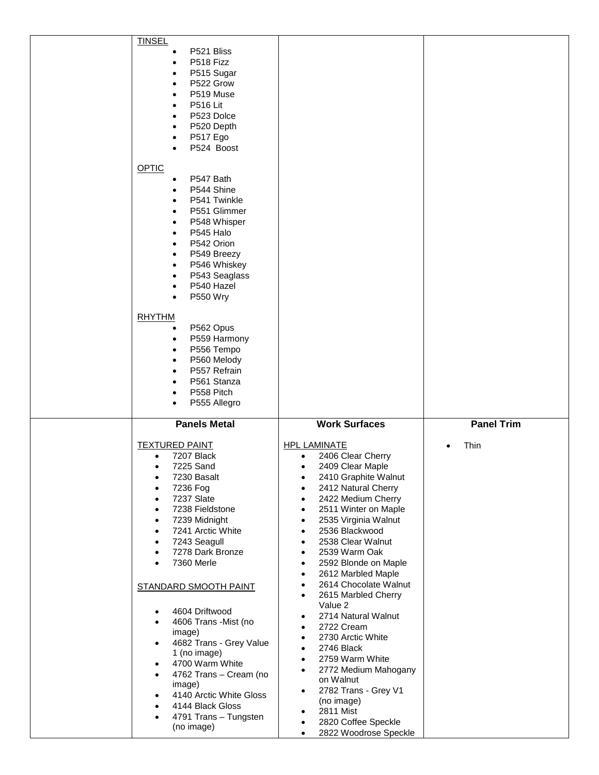| <b>TINSEL</b><br>P521 Bliss<br>P518 Fizz<br>P515 Sugar<br>P522 Grow<br>$\bullet$<br>P519 Muse<br><b>P516 Lit</b><br>P523 Dolce<br>P520 Depth<br>P517 Ego<br>P524 Boost<br>OPTIC<br>P547 Bath<br>$\bullet$<br>P544 Shine<br>P541 Twinkle<br>P551 Glimmer<br>P548 Whisper<br>$\bullet$<br>P545 Halo<br>P542 Orion<br>P549 Breezy<br>P546 Whiskey<br>P543 Seaglass<br>P540 Hazel<br>$\bullet$<br>P550 Wry<br>$\bullet$<br><b>RHYTHM</b><br>P562 Opus<br>$\bullet$<br>P559 Harmony<br>$\bullet$<br>P556 Tempo<br>$\bullet$<br>P560 Melody<br>P557 Refrain<br>P561 Stanza<br>P558 Pitch<br>P555 Allegro                                                                                                                        |                                                                                                                                                                                                                                                                                                                                                                                                                                                                                                                                                                                                                                                                                                                                                                                                                                                                             |                   |
|---------------------------------------------------------------------------------------------------------------------------------------------------------------------------------------------------------------------------------------------------------------------------------------------------------------------------------------------------------------------------------------------------------------------------------------------------------------------------------------------------------------------------------------------------------------------------------------------------------------------------------------------------------------------------------------------------------------------------|-----------------------------------------------------------------------------------------------------------------------------------------------------------------------------------------------------------------------------------------------------------------------------------------------------------------------------------------------------------------------------------------------------------------------------------------------------------------------------------------------------------------------------------------------------------------------------------------------------------------------------------------------------------------------------------------------------------------------------------------------------------------------------------------------------------------------------------------------------------------------------|-------------------|
| <b>Panels Metal</b>                                                                                                                                                                                                                                                                                                                                                                                                                                                                                                                                                                                                                                                                                                       | <b>Work Surfaces</b>                                                                                                                                                                                                                                                                                                                                                                                                                                                                                                                                                                                                                                                                                                                                                                                                                                                        | <b>Panel Trim</b> |
| <b>TEXTURED PAINT</b><br>7207 Black<br>$\bullet$<br>7225 Sand<br>$\bullet$<br>7230 Basalt<br>٠<br>7236 Fog<br>$\bullet$<br>7237 Slate<br>$\bullet$<br>7238 Fieldstone<br>$\bullet$<br>7239 Midnight<br>$\bullet$<br>7241 Arctic White<br>$\bullet$<br>7243 Seagull<br>$\bullet$<br>7278 Dark Bronze<br>$\bullet$<br>7360 Merle<br>$\bullet$<br>STANDARD SMOOTH PAINT<br>4604 Driftwood<br>$\bullet$<br>4606 Trans - Mist (no<br>$\bullet$<br>image)<br>4682 Trans - Grey Value<br>$\bullet$<br>1 (no image)<br>4700 Warm White<br>$\bullet$<br>4762 Trans - Cream (no<br>$\bullet$<br>image)<br>4140 Arctic White Gloss<br>$\bullet$<br>4144 Black Gloss<br>$\bullet$<br>4791 Trans - Tungsten<br>$\bullet$<br>(no image) | <b>HPL LAMINATE</b><br>2406 Clear Cherry<br>$\bullet$<br>2409 Clear Maple<br>$\bullet$<br>2410 Graphite Walnut<br>٠<br>2412 Natural Cherry<br>2422 Medium Cherry<br>$\bullet$<br>2511 Winter on Maple<br>$\bullet$<br>2535 Virginia Walnut<br>$\bullet$<br>2536 Blackwood<br>$\bullet$<br>2538 Clear Walnut<br>$\bullet$<br>2539 Warm Oak<br>$\bullet$<br>2592 Blonde on Maple<br>$\bullet$<br>2612 Marbled Maple<br>$\bullet$<br>2614 Chocolate Walnut<br>$\bullet$<br>2615 Marbled Cherry<br>$\bullet$<br>Value 2<br>2714 Natural Walnut<br>$\bullet$<br>2722 Cream<br>$\bullet$<br>2730 Arctic White<br>$\bullet$<br>2746 Black<br>$\bullet$<br>2759 Warm White<br>$\bullet$<br>2772 Medium Mahogany<br>$\bullet$<br>on Walnut<br>2782 Trans - Grey V1<br>$\bullet$<br>(no image)<br>2811 Mist<br>$\bullet$<br>2820 Coffee Speckle<br>2822 Woodrose Speckle<br>$\bullet$ | Thin              |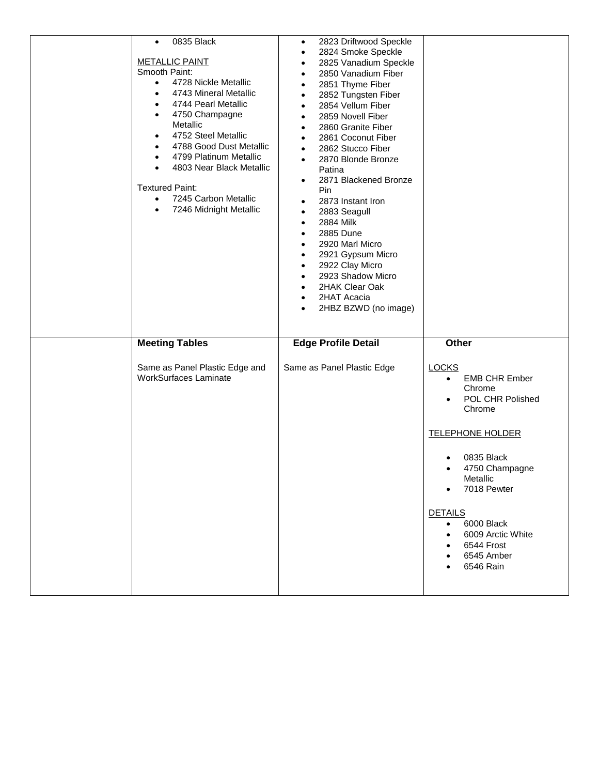| 0835 Black<br>$\bullet$<br><b>METALLIC PAINT</b><br>Smooth Paint:<br>4728 Nickle Metallic<br>$\bullet$<br>4743 Mineral Metallic<br>$\bullet$<br>4744 Pearl Metallic<br>$\bullet$<br>4750 Champagne<br>$\bullet$<br>Metallic<br>4752 Steel Metallic<br>$\bullet$<br>4788 Good Dust Metallic<br>$\bullet$<br>4799 Platinum Metallic<br>$\bullet$<br>4803 Near Black Metallic<br>$\bullet$<br><b>Textured Paint:</b><br>7245 Carbon Metallic<br>$\bullet$<br>7246 Midnight Metallic<br>$\bullet$ | 2823 Driftwood Speckle<br>$\bullet$<br>2824 Smoke Speckle<br>$\bullet$<br>2825 Vanadium Speckle<br>$\bullet$<br>2850 Vanadium Fiber<br>$\bullet$<br>2851 Thyme Fiber<br>$\bullet$<br>2852 Tungsten Fiber<br>$\bullet$<br>2854 Vellum Fiber<br>$\bullet$<br>2859 Novell Fiber<br>$\bullet$<br>2860 Granite Fiber<br>$\bullet$<br>2861 Coconut Fiber<br>$\bullet$<br>2862 Stucco Fiber<br>$\bullet$<br>2870 Blonde Bronze<br>$\bullet$<br>Patina<br>2871 Blackened Bronze<br>$\bullet$<br>Pin<br>2873 Instant Iron<br>$\bullet$<br>2883 Seagull<br>$\bullet$<br>2884 Milk<br>$\bullet$<br>2885 Dune<br>$\bullet$<br>2920 Marl Micro<br>$\bullet$<br>2921 Gypsum Micro<br>$\bullet$<br>2922 Clay Micro<br>$\bullet$<br>2923 Shadow Micro<br>$\bullet$<br>2HAK Clear Oak<br>$\bullet$<br>2HAT Acacia<br>$\bullet$<br>2HBZ BZWD (no image)<br>$\bullet$ |                                                                                                                                                                                                                                                                                                                  |
|-----------------------------------------------------------------------------------------------------------------------------------------------------------------------------------------------------------------------------------------------------------------------------------------------------------------------------------------------------------------------------------------------------------------------------------------------------------------------------------------------|----------------------------------------------------------------------------------------------------------------------------------------------------------------------------------------------------------------------------------------------------------------------------------------------------------------------------------------------------------------------------------------------------------------------------------------------------------------------------------------------------------------------------------------------------------------------------------------------------------------------------------------------------------------------------------------------------------------------------------------------------------------------------------------------------------------------------------------------------|------------------------------------------------------------------------------------------------------------------------------------------------------------------------------------------------------------------------------------------------------------------------------------------------------------------|
| <b>Meeting Tables</b><br>Same as Panel Plastic Edge and<br><b>WorkSurfaces Laminate</b>                                                                                                                                                                                                                                                                                                                                                                                                       | <b>Edge Profile Detail</b><br>Same as Panel Plastic Edge                                                                                                                                                                                                                                                                                                                                                                                                                                                                                                                                                                                                                                                                                                                                                                                           | Other<br><b>LOCKS</b><br><b>EMB CHR Ember</b><br>$\bullet$<br>Chrome<br>POL CHR Polished<br>Chrome<br><b>TELEPHONE HOLDER</b><br>0835 Black<br>4750 Champagne<br>$\bullet$<br>Metallic<br>7018 Pewter<br><b>DETAILS</b><br>6000 Black<br>$\bullet$<br>6009 Arctic White<br>6544 Frost<br>6545 Amber<br>6546 Rain |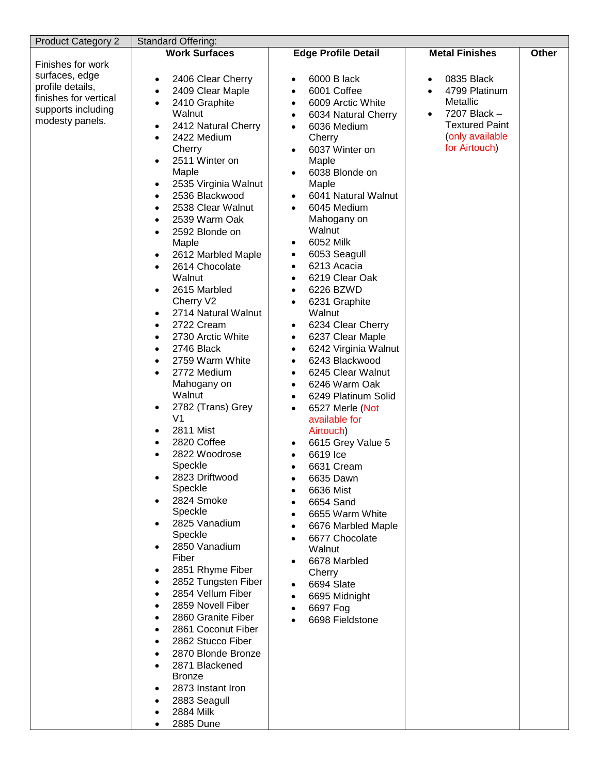| <b>Product Category 2</b> | Standard Offering:                               |                                   |                            |       |
|---------------------------|--------------------------------------------------|-----------------------------------|----------------------------|-------|
|                           | <b>Work Surfaces</b>                             | <b>Edge Profile Detail</b>        | <b>Metal Finishes</b>      | Other |
| Finishes for work         |                                                  |                                   |                            |       |
| surfaces, edge            |                                                  | 6000 B lack                       | 0835 Black                 |       |
| profile details,          | 2406 Clear Cherry<br>$\bullet$                   | $\bullet$<br>6001 Coffee          | $\bullet$                  |       |
| finishes for vertical     | 2409 Clear Maple<br>$\bullet$                    | $\bullet$                         | 4799 Platinum<br>$\bullet$ |       |
| supports including        | 2410 Graphite<br>$\bullet$                       | 6009 Arctic White<br>$\bullet$    | Metallic                   |       |
| modesty panels.           | Walnut                                           | 6034 Natural Cherry<br>$\bullet$  | 7207 Black -<br>$\bullet$  |       |
|                           | 2412 Natural Cherry<br>$\bullet$                 | 6036 Medium<br>$\bullet$          | <b>Textured Paint</b>      |       |
|                           | 2422 Medium<br>$\bullet$                         | Cherry                            | (only available            |       |
|                           | Cherry                                           | 6037 Winter on<br>$\bullet$       | for Airtouch)              |       |
|                           | 2511 Winter on<br>$\bullet$                      | Maple                             |                            |       |
|                           | Maple                                            | 6038 Blonde on<br>$\bullet$       |                            |       |
|                           | 2535 Virginia Walnut<br>$\bullet$                | Maple                             |                            |       |
|                           | 2536 Blackwood<br>$\bullet$                      | 6041 Natural Walnut<br>$\bullet$  |                            |       |
|                           | 2538 Clear Walnut<br>$\bullet$                   | 6045 Medium<br>$\bullet$          |                            |       |
|                           | 2539 Warm Oak                                    | Mahogany on                       |                            |       |
|                           | $\bullet$                                        | Walnut                            |                            |       |
|                           | 2592 Blonde on<br>$\bullet$                      |                                   |                            |       |
|                           | Maple                                            | 6052 Milk<br>$\bullet$            |                            |       |
|                           | 2612 Marbled Maple<br>$\bullet$                  | 6053 Seagull<br>$\bullet$         |                            |       |
|                           | 2614 Chocolate<br>$\bullet$                      | 6213 Acacia<br>$\bullet$          |                            |       |
|                           | Walnut                                           | 6219 Clear Oak<br>$\bullet$       |                            |       |
|                           | 2615 Marbled<br>$\bullet$                        | 6226 BZWD<br>$\bullet$            |                            |       |
|                           | Cherry V2                                        | 6231 Graphite<br>٠                |                            |       |
|                           | 2714 Natural Walnut<br>$\bullet$                 | Walnut                            |                            |       |
|                           | 2722 Cream<br>$\bullet$                          | 6234 Clear Cherry<br>$\bullet$    |                            |       |
|                           | 2730 Arctic White<br>$\bullet$                   | 6237 Clear Maple<br>$\bullet$     |                            |       |
|                           | 2746 Black<br>$\bullet$                          | 6242 Virginia Walnut<br>$\bullet$ |                            |       |
|                           | 2759 Warm White<br>$\bullet$                     | 6243 Blackwood<br>$\bullet$       |                            |       |
|                           | 2772 Medium<br>$\bullet$                         | 6245 Clear Walnut<br>$\bullet$    |                            |       |
|                           | Mahogany on                                      | 6246 Warm Oak<br>$\bullet$        |                            |       |
|                           | Walnut                                           |                                   |                            |       |
|                           |                                                  | 6249 Platinum Solid<br>$\bullet$  |                            |       |
|                           | 2782 (Trans) Grey<br>$\bullet$<br>V <sub>1</sub> | 6527 Merle (Not<br>$\bullet$      |                            |       |
|                           |                                                  | available for                     |                            |       |
|                           | 2811 Mist<br>$\bullet$                           | Airtouch)                         |                            |       |
|                           | 2820 Coffee<br>$\bullet$                         | 6615 Grey Value 5<br>$\bullet$    |                            |       |
|                           | 2822 Woodrose<br>$\bullet$                       | 6619 Ice<br>$\bullet$             |                            |       |
|                           | Speckle                                          | 6631 Cream<br>$\bullet$           |                            |       |
|                           | 2823 Driftwood<br>$\bullet$                      | 6635 Dawn<br>٠                    |                            |       |
|                           | Speckle                                          | 6636 Mist                         |                            |       |
|                           | 2824 Smoke<br>$\bullet$                          | 6654 Sand                         |                            |       |
|                           | Speckle                                          | 6655 Warm White<br>$\bullet$      |                            |       |
|                           | 2825 Vanadium<br>$\bullet$                       | 6676 Marbled Maple<br>$\bullet$   |                            |       |
|                           | Speckle                                          | 6677 Chocolate<br>$\bullet$       |                            |       |
|                           | 2850 Vanadium<br>$\bullet$                       | Walnut                            |                            |       |
|                           | Fiber                                            | 6678 Marbled<br>٠                 |                            |       |
|                           | 2851 Rhyme Fiber<br>$\bullet$                    | Cherry                            |                            |       |
|                           | 2852 Tungsten Fiber<br>$\bullet$                 | 6694 Slate<br>$\bullet$           |                            |       |
|                           | 2854 Vellum Fiber<br>$\bullet$                   | 6695 Midnight<br>$\bullet$        |                            |       |
|                           | 2859 Novell Fiber<br>$\bullet$                   |                                   |                            |       |
|                           | 2860 Granite Fiber<br>$\bullet$                  | 6697 Fog<br>$\bullet$             |                            |       |
|                           | 2861 Coconut Fiber                               | 6698 Fieldstone                   |                            |       |
|                           | $\bullet$                                        |                                   |                            |       |
|                           | 2862 Stucco Fiber<br>$\bullet$                   |                                   |                            |       |
|                           | 2870 Blonde Bronze<br>$\bullet$                  |                                   |                            |       |
|                           | 2871 Blackened<br>$\bullet$                      |                                   |                            |       |
|                           | <b>Bronze</b>                                    |                                   |                            |       |
|                           | 2873 Instant Iron<br>$\bullet$                   |                                   |                            |       |
|                           | 2883 Seagull<br>$\bullet$                        |                                   |                            |       |
|                           | 2884 Milk<br>$\bullet$                           |                                   |                            |       |
|                           | 2885 Dune<br>$\bullet$                           |                                   |                            |       |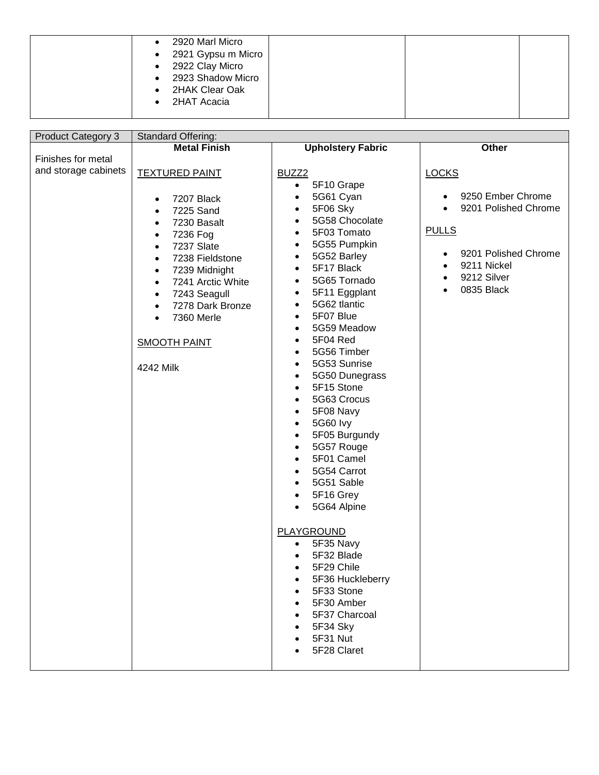| 2920 Marl Micro<br>2921 Gypsu m Micro<br>$\bullet$<br>2922 Clay Micro<br>2923 Shadow Micro<br>2HAK Clear Oak |
|--------------------------------------------------------------------------------------------------------------|
| 2HAT Acacia                                                                                                  |

| <b>Product Category 3</b> | Standard Offering:             |                               |                                   |  |  |  |
|---------------------------|--------------------------------|-------------------------------|-----------------------------------|--|--|--|
|                           | <b>Metal Finish</b>            | <b>Upholstery Fabric</b>      | Other                             |  |  |  |
| Finishes for metal        |                                |                               |                                   |  |  |  |
| and storage cabinets      | <b>TEXTURED PAINT</b>          | BUZZ <sub>2</sub>             | <b>LOCKS</b>                      |  |  |  |
|                           |                                | 5F10 Grape<br>$\bullet$       |                                   |  |  |  |
|                           | 7207 Black<br>$\bullet$        | 5G61 Cyan<br>$\bullet$        | 9250 Ember Chrome                 |  |  |  |
|                           | 7225 Sand<br>$\bullet$         | 5F06 Sky<br>$\bullet$         | 9201 Polished Chrome<br>$\bullet$ |  |  |  |
|                           | 7230 Basalt<br>$\bullet$       | 5G58 Chocolate<br>$\bullet$   |                                   |  |  |  |
|                           | 7236 Fog<br>$\bullet$          | 5F03 Tomato<br>$\bullet$      | <b>PULLS</b>                      |  |  |  |
|                           | 7237 Slate<br>$\bullet$        | 5G55 Pumpkin<br>$\bullet$     |                                   |  |  |  |
|                           | 7238 Fieldstone<br>$\bullet$   | 5G52 Barley<br>$\bullet$      | 9201 Polished Chrome<br>$\bullet$ |  |  |  |
|                           | 7239 Midnight<br>$\bullet$     | 5F17 Black<br>$\bullet$       | 9211 Nickel<br>$\bullet$          |  |  |  |
|                           | 7241 Arctic White<br>$\bullet$ | 5G65 Tornado<br>$\bullet$     | 9212 Silver<br>$\bullet$          |  |  |  |
|                           | 7243 Seagull<br>$\bullet$      | 5F11 Eggplant<br>$\bullet$    | 0835 Black<br>$\bullet$           |  |  |  |
|                           | 7278 Dark Bronze<br>$\bullet$  | 5G62 tlantic<br>$\bullet$     |                                   |  |  |  |
|                           | 7360 Merle<br>$\bullet$        | 5F07 Blue<br>$\bullet$        |                                   |  |  |  |
|                           |                                | 5G59 Meadow<br>$\bullet$      |                                   |  |  |  |
|                           | <b>SMOOTH PAINT</b>            | 5F04 Red<br>$\bullet$         |                                   |  |  |  |
|                           |                                | 5G56 Timber<br>$\bullet$      |                                   |  |  |  |
|                           | 4242 Milk                      | 5G53 Sunrise<br>$\bullet$     |                                   |  |  |  |
|                           |                                | 5G50 Dunegrass<br>$\bullet$   |                                   |  |  |  |
|                           |                                | 5F15 Stone<br>$\bullet$       |                                   |  |  |  |
|                           |                                | 5G63 Crocus<br>$\bullet$      |                                   |  |  |  |
|                           |                                | 5F08 Navy<br>$\bullet$        |                                   |  |  |  |
|                           |                                | <b>5G60 lvy</b><br>$\bullet$  |                                   |  |  |  |
|                           |                                | 5F05 Burgundy<br>$\bullet$    |                                   |  |  |  |
|                           |                                | 5G57 Rouge<br>$\bullet$       |                                   |  |  |  |
|                           |                                | 5F01 Camel<br>$\bullet$       |                                   |  |  |  |
|                           |                                | 5G54 Carrot<br>$\bullet$      |                                   |  |  |  |
|                           |                                | 5G51 Sable<br>$\bullet$       |                                   |  |  |  |
|                           |                                | 5F16 Grey<br>$\bullet$        |                                   |  |  |  |
|                           |                                | 5G64 Alpine<br>$\bullet$      |                                   |  |  |  |
|                           |                                |                               |                                   |  |  |  |
|                           |                                | <b>PLAYGROUND</b>             |                                   |  |  |  |
|                           |                                | 5F35 Navy<br>$\bullet$        |                                   |  |  |  |
|                           |                                | 5F32 Blade                    |                                   |  |  |  |
|                           |                                | 5F29 Chile                    |                                   |  |  |  |
|                           |                                | 5F36 Huckleberry<br>$\bullet$ |                                   |  |  |  |
|                           |                                | 5F33 Stone                    |                                   |  |  |  |
|                           |                                | 5F30 Amber                    |                                   |  |  |  |
|                           |                                | 5F37 Charcoal                 |                                   |  |  |  |
|                           |                                | 5F34 Sky                      |                                   |  |  |  |
|                           |                                | 5F31 Nut                      |                                   |  |  |  |
|                           |                                | 5F28 Claret                   |                                   |  |  |  |
|                           |                                |                               |                                   |  |  |  |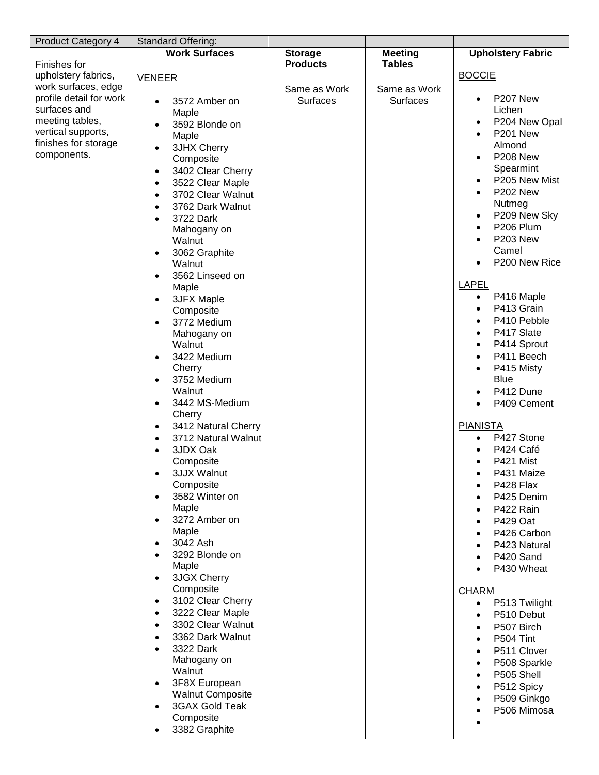| <b>Product Category 4</b> | Standard Offering:               |                                   |                                 |                              |
|---------------------------|----------------------------------|-----------------------------------|---------------------------------|------------------------------|
| Finishes for              | <b>Work Surfaces</b>             | <b>Storage</b><br><b>Products</b> | <b>Meeting</b><br><b>Tables</b> | <b>Upholstery Fabric</b>     |
| upholstery fabrics,       |                                  |                                   |                                 | <b>BOCCIE</b>                |
| work surfaces, edge       | <b>VENEER</b>                    | Same as Work                      | Same as Work                    |                              |
| profile detail for work   | 3572 Amber on                    | Surfaces                          | <b>Surfaces</b>                 | P207 New<br>$\bullet$        |
| surfaces and              | Maple                            |                                   |                                 | Lichen                       |
| meeting tables,           | 3592 Blonde on                   |                                   |                                 | P204 New Opal<br>$\bullet$   |
| vertical supports,        | Maple                            |                                   |                                 | P201 New<br>$\bullet$        |
| finishes for storage      | 3JHX Cherry<br>$\bullet$         |                                   |                                 | Almond                       |
| components.               | Composite                        |                                   |                                 | P208 New<br>$\bullet$        |
|                           | 3402 Clear Cherry<br>$\bullet$   |                                   |                                 | Spearmint                    |
|                           | 3522 Clear Maple<br>$\bullet$    |                                   |                                 | P205 New Mist                |
|                           | 3702 Clear Walnut<br>$\bullet$   |                                   |                                 | <b>P202 New</b><br>$\bullet$ |
|                           | 3762 Dark Walnut<br>$\bullet$    |                                   |                                 | Nutmeg                       |
|                           | 3722 Dark                        |                                   |                                 | P209 New Sky<br>$\bullet$    |
|                           | Mahogany on                      |                                   |                                 | P206 Plum<br>$\bullet$       |
|                           | Walnut                           |                                   |                                 | <b>P203 New</b><br>$\bullet$ |
|                           | 3062 Graphite<br>$\bullet$       |                                   |                                 | Camel                        |
|                           | Walnut                           |                                   |                                 | P200 New Rice                |
|                           | 3562 Linseed on<br>$\bullet$     |                                   |                                 |                              |
|                           | Maple                            |                                   |                                 | <b>LAPEL</b>                 |
|                           | 3JFX Maple<br>٠                  |                                   |                                 | P416 Maple<br>$\bullet$      |
|                           | Composite                        |                                   |                                 | P413 Grain<br>$\bullet$      |
|                           | 3772 Medium<br>$\bullet$         |                                   |                                 | P410 Pebble                  |
|                           | Mahogany on                      |                                   |                                 | P417 Slate<br>$\bullet$      |
|                           | Walnut                           |                                   |                                 | P414 Sprout<br>$\bullet$     |
|                           | 3422 Medium<br>$\bullet$         |                                   |                                 | P411 Beech<br>$\bullet$      |
|                           | Cherry                           |                                   |                                 | P415 Misty<br>$\bullet$      |
|                           | 3752 Medium<br>$\bullet$         |                                   |                                 | <b>Blue</b>                  |
|                           | Walnut                           |                                   |                                 | P412 Dune<br>$\bullet$       |
|                           | 3442 MS-Medium<br>$\bullet$      |                                   |                                 | P409 Cement<br>$\bullet$     |
|                           | Cherry<br>3412 Natural Cherry    |                                   |                                 | <b>PIANISTA</b>              |
|                           | $\bullet$<br>3712 Natural Walnut |                                   |                                 | P427 Stone<br>$\bullet$      |
|                           | 3JDX Oak                         |                                   |                                 | P424 Café                    |
|                           | Composite                        |                                   |                                 | P421 Mist                    |
|                           | 3JJX Walnut                      |                                   |                                 | P431 Maize                   |
|                           | Composite                        |                                   |                                 | P428 Flax                    |
|                           | 3582 Winter on                   |                                   |                                 | P425 Denim                   |
|                           | Maple                            |                                   |                                 | P422 Rain                    |
|                           | 3272 Amber on                    |                                   |                                 | P429 Oat                     |
|                           | Maple                            |                                   |                                 | P426 Carbon                  |
|                           | 3042 Ash                         |                                   |                                 | P423 Natural                 |
|                           | 3292 Blonde on                   |                                   |                                 | P420 Sand                    |
|                           | Maple                            |                                   |                                 | P430 Wheat                   |
|                           | 3JGX Cherry                      |                                   |                                 |                              |
|                           | Composite                        |                                   |                                 | <b>CHARM</b>                 |
|                           | 3102 Clear Cherry                |                                   |                                 | P513 Twilight<br>$\bullet$   |
|                           | 3222 Clear Maple                 |                                   |                                 | P510 Debut<br>$\bullet$      |
|                           | 3302 Clear Walnut                |                                   |                                 | P507 Birch                   |
|                           | 3362 Dark Walnut                 |                                   |                                 | P504 Tint<br>٠               |
|                           | 3322 Dark                        |                                   |                                 | P511 Clover<br>٠             |
|                           | Mahogany on                      |                                   |                                 | P508 Sparkle<br>$\bullet$    |
|                           | Walnut                           |                                   |                                 | P505 Shell<br>$\bullet$      |
|                           | 3F8X European<br>$\bullet$       |                                   |                                 | P512 Spicy<br>$\bullet$      |
|                           | <b>Walnut Composite</b>          |                                   |                                 | P509 Ginkgo                  |
|                           | 3GAX Gold Teak                   |                                   |                                 | P506 Mimosa                  |
|                           | Composite                        |                                   |                                 |                              |
|                           | 3382 Graphite                    |                                   |                                 |                              |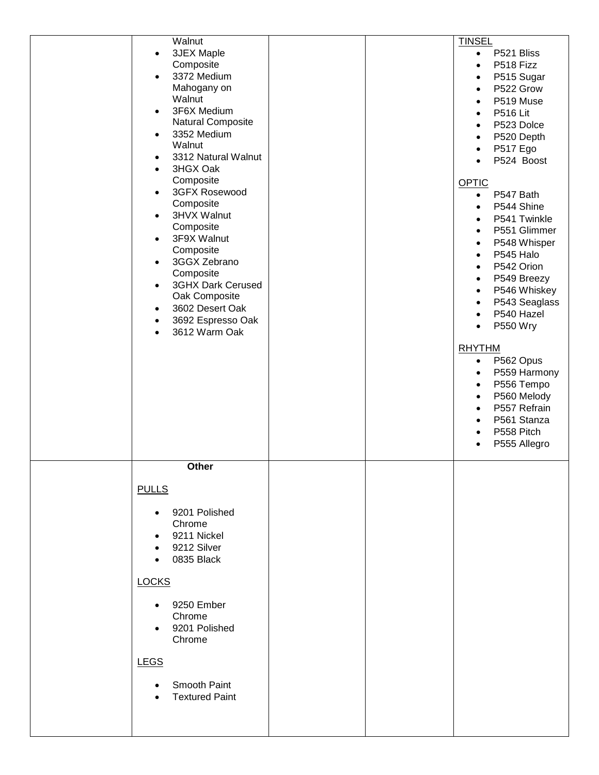| Walnut                           |  | <b>TINSEL</b>              |
|----------------------------------|--|----------------------------|
| <b>3JEX Maple</b><br>$\bullet$   |  | P521 Bliss<br>$\bullet$    |
| Composite                        |  | P518 Fizz                  |
| 3372 Medium<br>$\bullet$         |  | P515 Sugar                 |
| Mahogany on                      |  | P522 Grow<br>$\bullet$     |
| Walnut                           |  | P519 Muse                  |
| 3F6X Medium<br>$\bullet$         |  | <b>P516 Lit</b>            |
| Natural Composite                |  | P523 Dolce<br>$\bullet$    |
| 3352 Medium<br>$\bullet$         |  | P520 Depth<br>$\bullet$    |
| Walnut                           |  | P517 Ego<br>$\bullet$      |
| 3312 Natural Walnut<br>$\bullet$ |  | P524 Boost<br>$\bullet$    |
| 3HGX Oak<br>$\bullet$            |  |                            |
| Composite                        |  | <b>OPTIC</b>               |
| 3GFX Rosewood<br>$\bullet$       |  | P547 Bath<br>$\bullet$     |
| Composite                        |  | P544 Shine                 |
| 3HVX Walnut<br>$\bullet$         |  | P541 Twinkle               |
| Composite                        |  | P551 Glimmer<br>$\bullet$  |
| 3F9X Walnut<br>$\bullet$         |  | P548 Whisper<br>$\bullet$  |
| Composite                        |  |                            |
| 3GGX Zebrano<br>$\bullet$        |  | P545 Halo<br>$\bullet$     |
| Composite                        |  | P542 Orion<br>$\bullet$    |
| 3GHX Dark Cerused<br>$\bullet$   |  | P549 Breezy<br>$\bullet$   |
| Oak Composite                    |  | P546 Whiskey<br>$\bullet$  |
| 3602 Desert Oak<br>$\bullet$     |  | P543 Seaglass<br>$\bullet$ |
| 3692 Espresso Oak<br>$\bullet$   |  | P540 Hazel<br>$\bullet$    |
| 3612 Warm Oak<br>$\bullet$       |  | P550 Wry<br>$\bullet$      |
|                                  |  |                            |
|                                  |  | <b>RHYTHM</b>              |
|                                  |  | P562 Opus<br>$\bullet$     |
|                                  |  | P559 Harmony<br>$\bullet$  |
|                                  |  | P556 Tempo<br>$\bullet$    |
|                                  |  | P560 Melody<br>$\bullet$   |
|                                  |  | P557 Refrain<br>$\bullet$  |
|                                  |  | P561 Stanza<br>$\bullet$   |
|                                  |  | P558 Pitch<br>$\bullet$    |
|                                  |  | P555 Allegro<br>$\bullet$  |
|                                  |  |                            |
| Other                            |  |                            |
|                                  |  |                            |
| <b>PULLS</b>                     |  |                            |
|                                  |  |                            |
| 9201 Polished<br>$\bullet$       |  |                            |
| Chrome                           |  |                            |
| 9211 Nickel<br>$\bullet$         |  |                            |
| 9212 Silver                      |  |                            |
| 0835 Black                       |  |                            |
|                                  |  |                            |
| <b>LOCKS</b>                     |  |                            |
|                                  |  |                            |
| 9250 Ember                       |  |                            |
| Chrome                           |  |                            |
| 9201 Polished                    |  |                            |
| Chrome                           |  |                            |
| <b>LEGS</b>                      |  |                            |
|                                  |  |                            |
| Smooth Paint                     |  |                            |
| <b>Textured Paint</b>            |  |                            |
|                                  |  |                            |
|                                  |  |                            |
|                                  |  |                            |